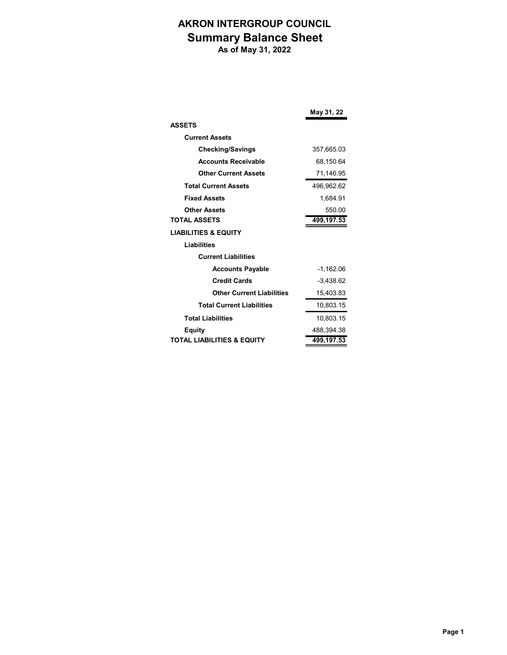## **AKRON INTERGROUP COUNCIL Summary Balance Sheet**

 **As of May 31, 2022**

|                                       | May 31, 22  |
|---------------------------------------|-------------|
| <b>ASSETS</b>                         |             |
| <b>Current Assets</b>                 |             |
| <b>Checking/Savings</b>               | 357,665.03  |
| <b>Accounts Receivable</b>            | 68,150.64   |
| <b>Other Current Assets</b>           | 71,146.95   |
| <b>Total Current Assets</b>           | 496,962.62  |
| <b>Fixed Assets</b>                   | 1.684.91    |
| <b>Other Assets</b>                   | 550.00      |
| <b>TOTAL ASSETS</b>                   | 499,197.53  |
| <b>LIABILITIES &amp; EQUITY</b>       |             |
| <b>Liabilities</b>                    |             |
| <b>Current Liabilities</b>            |             |
| <b>Accounts Payable</b>               | $-1,162.06$ |
| <b>Credit Cards</b>                   | $-3.438.62$ |
| <b>Other Current Liabilities</b>      | 15,403.83   |
| <b>Total Current Liabilities</b>      | 10,803.15   |
| <b>Total Liabilities</b>              | 10,803.15   |
| <b>Equity</b>                         | 488,394.38  |
| <b>TOTAL LIABILITIES &amp; EQUITY</b> | 499,197.53  |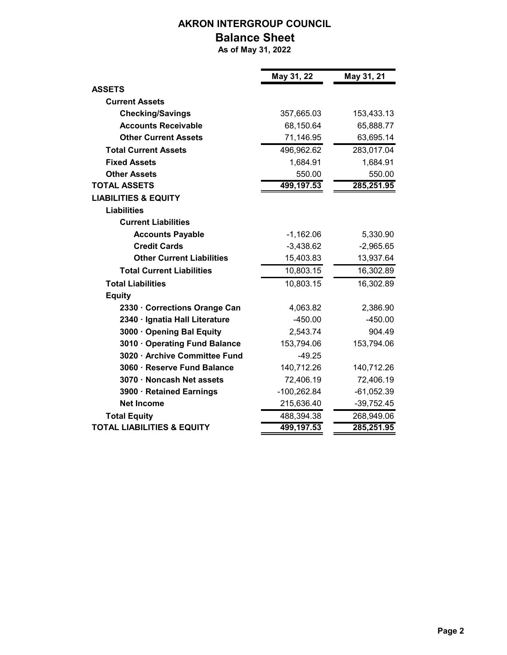## **AKRON INTERGROUP COUNCIL**

## **Balance Sheet**

 **As of May 31, 2022**

ń

|                                       | May 31, 22  | May 31, 21   |
|---------------------------------------|-------------|--------------|
| <b>ASSETS</b>                         |             |              |
| <b>Current Assets</b>                 |             |              |
| <b>Checking/Savings</b>               | 357,665.03  | 153,433.13   |
| <b>Accounts Receivable</b>            | 68,150.64   | 65,888.77    |
| <b>Other Current Assets</b>           | 71,146.95   | 63,695.14    |
| <b>Total Current Assets</b>           | 496,962.62  | 283,017.04   |
| <b>Fixed Assets</b>                   | 1,684.91    | 1,684.91     |
| <b>Other Assets</b>                   | 550.00      | 550.00       |
| <b>TOTAL ASSETS</b>                   | 499,197.53  | 285,251.95   |
| <b>LIABILITIES &amp; EQUITY</b>       |             |              |
| <b>Liabilities</b>                    |             |              |
| <b>Current Liabilities</b>            |             |              |
| <b>Accounts Payable</b>               | $-1,162.06$ | 5,330.90     |
| <b>Credit Cards</b>                   | $-3,438.62$ | $-2,965.65$  |
| <b>Other Current Liabilities</b>      | 15,403.83   | 13,937.64    |
| <b>Total Current Liabilities</b>      | 10,803.15   | 16,302.89    |
| <b>Total Liabilities</b>              | 10,803.15   | 16,302.89    |
| <b>Equity</b>                         |             |              |
| 2330 · Corrections Orange Can         | 4,063.82    | 2,386.90     |
| 2340 · Ignatia Hall Literature        | $-450.00$   | $-450.00$    |
| 3000 · Opening Bal Equity             | 2,543.74    | 904.49       |
| 3010 · Operating Fund Balance         | 153,794.06  | 153,794.06   |
| 3020 · Archive Committee Fund         | $-49.25$    |              |
| 3060 · Reserve Fund Balance           | 140,712.26  | 140,712.26   |
| 3070 · Noncash Net assets             | 72,406.19   | 72,406.19    |
| 3900 · Retained Earnings              | -100,262.84 | $-61,052.39$ |
| <b>Net Income</b>                     | 215,636.40  | $-39,752.45$ |
| <b>Total Equity</b>                   | 488,394.38  | 268,949.06   |
| <b>TOTAL LIABILITIES &amp; EQUITY</b> | 499,197.53  | 285,251.95   |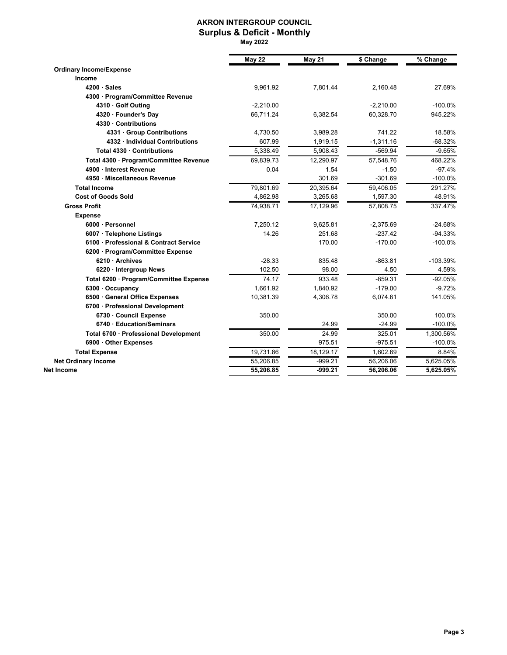#### **AKRON INTERGROUP COUNCIL Surplus & Deficit - Monthly**

 **May 2022**

|                                        | <b>May 22</b> | <b>May 21</b> | \$ Change   | % Change   |
|----------------------------------------|---------------|---------------|-------------|------------|
| <b>Ordinary Income/Expense</b>         |               |               |             |            |
| Income                                 |               |               |             |            |
| $4200 \cdot Sales$                     | 9,961.92      | 7,801.44      | 2,160.48    | 27.69%     |
| 4300 · Program/Committee Revenue       |               |               |             |            |
| 4310 · Golf Outing                     | $-2,210.00$   |               | $-2,210.00$ | $-100.0%$  |
| 4320 · Founder's Day                   | 66,711.24     | 6,382.54      | 60,328.70   | 945.22%    |
| 4330 · Contributions                   |               |               |             |            |
| 4331 · Group Contributions             | 4,730.50      | 3,989.28      | 741.22      | 18.58%     |
| 4332 · Individual Contributions        | 607.99        | 1,919.15      | $-1,311.16$ | $-68.32%$  |
| Total 4330 · Contributions             | 5,338.49      | 5,908.43      | $-569.94$   | $-9.65%$   |
| Total 4300 · Program/Committee Revenue | 69,839.73     | 12,290.97     | 57,548.76   | 468.22%    |
| 4900 · Interest Revenue                | 0.04          | 1.54          | $-1.50$     | $-97.4%$   |
| 4950 · Miscellaneous Revenue           |               | 301.69        | $-301.69$   | $-100.0%$  |
| <b>Total Income</b>                    | 79,801.69     | 20,395.64     | 59,406.05   | 291.27%    |
| <b>Cost of Goods Sold</b>              | 4,862.98      | 3,265.68      | 1,597.30    | 48.91%     |
| <b>Gross Profit</b>                    | 74,938.71     | 17,129.96     | 57,808.75   | 337.47%    |
| <b>Expense</b>                         |               |               |             |            |
| 6000 · Personnel                       | 7,250.12      | 9,625.81      | $-2,375.69$ | $-24.68%$  |
| 6007 · Telephone Listings              | 14.26         | 251.68        | $-237.42$   | $-94.33%$  |
| 6100 · Professional & Contract Service |               | 170.00        | $-170.00$   | $-100.0%$  |
| 6200 · Program/Committee Expense       |               |               |             |            |
| 6210 · Archives                        | $-28.33$      | 835.48        | $-863.81$   | $-103.39%$ |
| 6220 · Intergroup News                 | 102.50        | 98.00         | 4.50        | 4.59%      |
| Total 6200 · Program/Committee Expense | 74.17         | 933.48        | $-859.31$   | $-92.05%$  |
| 6300 · Occupancy                       | 1,661.92      | 1,840.92      | $-179.00$   | $-9.72%$   |
| 6500 · General Office Expenses         | 10,381.39     | 4,306.78      | 6,074.61    | 141.05%    |
| 6700 · Professional Development        |               |               |             |            |
| 6730 · Council Expense                 | 350.00        |               | 350.00      | 100.0%     |
| 6740 · Education/Seminars              |               | 24.99         | $-24.99$    | $-100.0%$  |
| Total 6700 · Professional Development  | 350.00        | 24.99         | 325.01      | 1.300.56%  |
| 6900 · Other Expenses                  |               | 975.51        | $-975.51$   | $-100.0%$  |
| <b>Total Expense</b>                   | 19,731.86     | 18,129.17     | 1,602.69    | 8.84%      |
| <b>Net Ordinary Income</b>             | 55,206.85     | $-999.21$     | 56,206.06   | 5,625.05%  |
| Net Income                             | 55,206.85     | $-999.21$     | 56,206.06   | 5,625.05%  |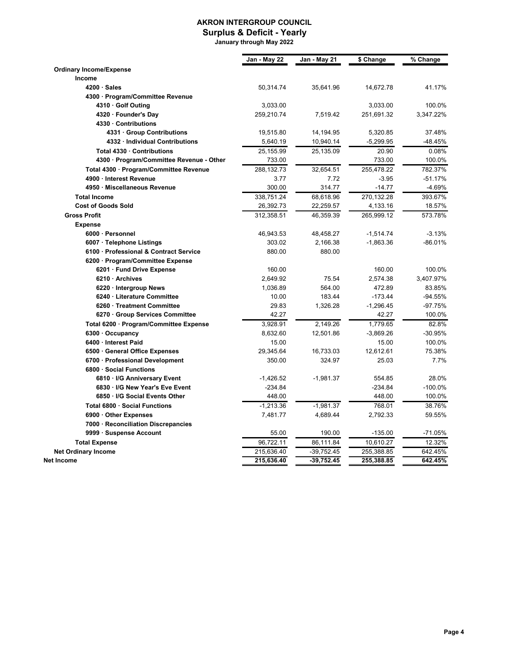#### **AKRON INTERGROUP COUNCIL Surplus & Deficit - Yearly**

 **January through May 2022**

|                                          | Jan - May 22 | Jan - May 21 | \$ Change   | $\sqrt[6]{8}$ Change |
|------------------------------------------|--------------|--------------|-------------|----------------------|
| <b>Ordinary Income/Expense</b>           |              |              |             |                      |
| Income                                   |              |              |             |                      |
| $4200 \cdot$ Sales                       | 50,314.74    | 35,641.96    | 14,672.78   | 41.17%               |
| 4300 · Program/Committee Revenue         |              |              |             |                      |
| 4310 · Golf Outing                       | 3,033.00     |              | 3,033.00    | 100.0%               |
| 4320 · Founder's Day                     | 259,210.74   | 7,519.42     | 251,691.32  | 3,347.22%            |
| 4330 · Contributions                     |              |              |             |                      |
| 4331 · Group Contributions               | 19,515.80    | 14,194.95    | 5,320.85    | 37.48%               |
| 4332 · Individual Contributions          | 5,640.19     | 10,940.14    | -5,299.95   | -48.45%              |
| Total 4330 · Contributions               | 25,155.99    | 25,135.09    | 20.90       | 0.08%                |
| 4300 · Program/Committee Revenue - Other | 733.00       |              | 733.00      | 100.0%               |
| Total 4300 · Program/Committee Revenue   | 288,132.73   | 32,654.51    | 255,478.22  | 782.37%              |
| 4900 · Interest Revenue                  | 3.77         | 7.72         | $-3.95$     | $-51.17%$            |
| 4950 · Miscellaneous Revenue             | 300.00       | 314.77       | $-14.77$    | $-4.69%$             |
| <b>Total Income</b>                      | 338,751.24   | 68,618.96    | 270,132.28  | 393.67%              |
| <b>Cost of Goods Sold</b>                | 26,392.73    | 22,259.57    | 4,133.16    | 18.57%               |
| <b>Gross Profit</b>                      | 312,358.51   | 46,359.39    | 265,999.12  | 573.78%              |
| <b>Expense</b>                           |              |              |             |                      |
| 6000 · Personnel                         | 46,943.53    | 48,458.27    | $-1,514.74$ | $-3.13%$             |
| 6007 · Telephone Listings                | 303.02       | 2,166.38     | $-1,863.36$ | $-86.01%$            |
| 6100 · Professional & Contract Service   | 880.00       | 880.00       |             |                      |
| 6200 · Program/Committee Expense         |              |              |             |                      |
| 6201 · Fund Drive Expense                | 160.00       |              | 160.00      | 100.0%               |
| 6210 · Archives                          | 2,649.92     | 75.54        | 2,574.38    | 3,407.97%            |
| 6220 · Intergroup News                   | 1,036.89     | 564.00       | 472.89      | 83.85%               |
| 6240 · Literature Committee              | 10.00        | 183.44       | $-173.44$   | -94.55%              |
| 6260 · Treatment Committee               | 29.83        | 1,326.28     | $-1,296.45$ | $-97.75%$            |
| 6270 · Group Services Committee          | 42.27        |              | 42.27       | 100.0%               |
| Total 6200 · Program/Committee Expense   | 3,928.91     | 2,149.26     | 1,779.65    | 82.8%                |
| $6300 \cdot$ Occupancy                   | 8,632.60     | 12,501.86    | $-3,869.26$ | -30.95%              |
| 6400 · Interest Paid                     | 15.00        |              | 15.00       | 100.0%               |
| 6500 · General Office Expenses           | 29,345.64    | 16,733.03    | 12,612.61   | 75.38%               |
| 6700 · Professional Development          | 350.00       | 324.97       | 25.03       | 7.7%                 |
| 6800 · Social Functions                  |              |              |             |                      |
| 6810 · I/G Anniversary Event             | $-1,426.52$  | $-1,981.37$  | 554.85      | 28.0%                |
| 6830 · I/G New Year's Eve Event          | $-234.84$    |              | $-234.84$   | $-100.0%$            |
| 6850 · I/G Social Events Other           | 448.00       |              | 448.00      | 100.0%               |
| Total 6800 · Social Functions            | $-1,213.36$  | $-1,981.37$  | 768.01      | 38.76%               |
| 6900 Other Expenses                      | 7,481.77     | 4,689.44     | 2,792.33    | 59.55%               |
| 7000 · Reconciliation Discrepancies      |              |              |             |                      |
| 9999 · Suspense Account                  | 55.00        | 190.00       | $-135.00$   | $-71.05%$            |
| <b>Total Expense</b>                     | 96,722.11    | 86,111.84    | 10,610.27   | 12.32%               |
| <b>Net Ordinary Income</b>               | 215,636.40   | $-39,752.45$ | 255,388.85  | 642.45%              |
| Net Income                               | 215,636.40   | $-39,752.45$ | 255,388.85  | 642.45%              |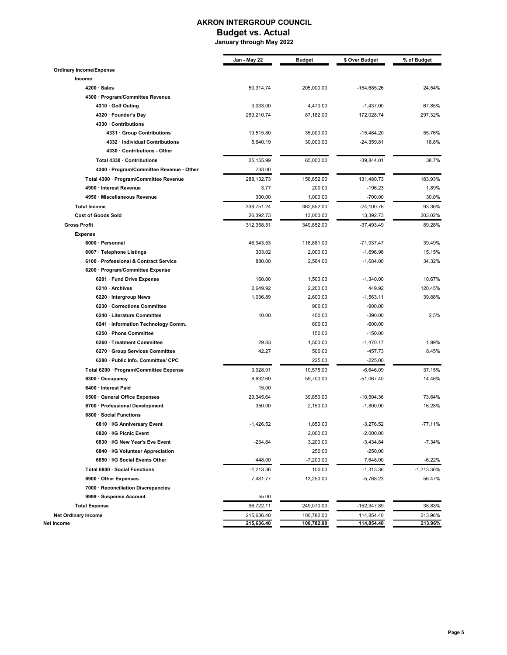#### **AKRON INTERGROUP COUNCIL**

#### **Budget vs. Actual**

 **January through May 2022**

| Jan - May 22 | <b>Budget</b>                                                                                                                                                                                                                                         | \$ Over Budget                                                                                                                                                                                                                                                                                                    | % of Budget                                                                                                                                                                                                                                                                                                                                                                  |
|--------------|-------------------------------------------------------------------------------------------------------------------------------------------------------------------------------------------------------------------------------------------------------|-------------------------------------------------------------------------------------------------------------------------------------------------------------------------------------------------------------------------------------------------------------------------------------------------------------------|------------------------------------------------------------------------------------------------------------------------------------------------------------------------------------------------------------------------------------------------------------------------------------------------------------------------------------------------------------------------------|
|              |                                                                                                                                                                                                                                                       |                                                                                                                                                                                                                                                                                                                   |                                                                                                                                                                                                                                                                                                                                                                              |
|              |                                                                                                                                                                                                                                                       |                                                                                                                                                                                                                                                                                                                   |                                                                                                                                                                                                                                                                                                                                                                              |
| 50,314.74    | 205,000.00                                                                                                                                                                                                                                            | -154,685.26                                                                                                                                                                                                                                                                                                       | 24.54%                                                                                                                                                                                                                                                                                                                                                                       |
|              |                                                                                                                                                                                                                                                       |                                                                                                                                                                                                                                                                                                                   |                                                                                                                                                                                                                                                                                                                                                                              |
| 3,033.00     | 4,470.00                                                                                                                                                                                                                                              | $-1,437.00$                                                                                                                                                                                                                                                                                                       | 67.85%                                                                                                                                                                                                                                                                                                                                                                       |
| 259,210.74   | 87,182.00                                                                                                                                                                                                                                             | 172,028.74                                                                                                                                                                                                                                                                                                        | 297.32%                                                                                                                                                                                                                                                                                                                                                                      |
|              |                                                                                                                                                                                                                                                       |                                                                                                                                                                                                                                                                                                                   |                                                                                                                                                                                                                                                                                                                                                                              |
| 19,515.80    | 35,000.00                                                                                                                                                                                                                                             | $-15,484.20$                                                                                                                                                                                                                                                                                                      | 55.76%                                                                                                                                                                                                                                                                                                                                                                       |
| 5,640.19     | 30,000.00                                                                                                                                                                                                                                             | $-24,359.81$                                                                                                                                                                                                                                                                                                      | 18.8%                                                                                                                                                                                                                                                                                                                                                                        |
|              |                                                                                                                                                                                                                                                       |                                                                                                                                                                                                                                                                                                                   |                                                                                                                                                                                                                                                                                                                                                                              |
| 25,155.99    | 65,000.00                                                                                                                                                                                                                                             | $-39,844.01$                                                                                                                                                                                                                                                                                                      | 38.7%                                                                                                                                                                                                                                                                                                                                                                        |
| 733.00       |                                                                                                                                                                                                                                                       |                                                                                                                                                                                                                                                                                                                   |                                                                                                                                                                                                                                                                                                                                                                              |
| 288,132.73   | 156,652.00                                                                                                                                                                                                                                            | 131,480.73                                                                                                                                                                                                                                                                                                        | 183.93%                                                                                                                                                                                                                                                                                                                                                                      |
| 3.77         | 200.00                                                                                                                                                                                                                                                | $-196.23$                                                                                                                                                                                                                                                                                                         | 1.89%                                                                                                                                                                                                                                                                                                                                                                        |
| 300.00       | 1,000.00                                                                                                                                                                                                                                              | $-700.00$                                                                                                                                                                                                                                                                                                         | 30.0%                                                                                                                                                                                                                                                                                                                                                                        |
| 338,751.24   | 362,852.00                                                                                                                                                                                                                                            | $-24,100.76$                                                                                                                                                                                                                                                                                                      | 93.36%                                                                                                                                                                                                                                                                                                                                                                       |
| 26,392.73    | 13,000.00                                                                                                                                                                                                                                             | 13,392.73                                                                                                                                                                                                                                                                                                         | 203.02%                                                                                                                                                                                                                                                                                                                                                                      |
| 312,358.51   | 349,852.00                                                                                                                                                                                                                                            | $-37,493.49$                                                                                                                                                                                                                                                                                                      | 89.28%                                                                                                                                                                                                                                                                                                                                                                       |
|              |                                                                                                                                                                                                                                                       |                                                                                                                                                                                                                                                                                                                   |                                                                                                                                                                                                                                                                                                                                                                              |
|              |                                                                                                                                                                                                                                                       |                                                                                                                                                                                                                                                                                                                   | 39.49%                                                                                                                                                                                                                                                                                                                                                                       |
|              |                                                                                                                                                                                                                                                       |                                                                                                                                                                                                                                                                                                                   | 15.15%                                                                                                                                                                                                                                                                                                                                                                       |
|              |                                                                                                                                                                                                                                                       |                                                                                                                                                                                                                                                                                                                   | 34.32%                                                                                                                                                                                                                                                                                                                                                                       |
|              |                                                                                                                                                                                                                                                       |                                                                                                                                                                                                                                                                                                                   |                                                                                                                                                                                                                                                                                                                                                                              |
|              |                                                                                                                                                                                                                                                       |                                                                                                                                                                                                                                                                                                                   | 10.67%                                                                                                                                                                                                                                                                                                                                                                       |
|              |                                                                                                                                                                                                                                                       |                                                                                                                                                                                                                                                                                                                   | 120.45%                                                                                                                                                                                                                                                                                                                                                                      |
|              |                                                                                                                                                                                                                                                       |                                                                                                                                                                                                                                                                                                                   | 39.88%                                                                                                                                                                                                                                                                                                                                                                       |
|              |                                                                                                                                                                                                                                                       |                                                                                                                                                                                                                                                                                                                   |                                                                                                                                                                                                                                                                                                                                                                              |
|              |                                                                                                                                                                                                                                                       |                                                                                                                                                                                                                                                                                                                   | 2.5%                                                                                                                                                                                                                                                                                                                                                                         |
|              |                                                                                                                                                                                                                                                       |                                                                                                                                                                                                                                                                                                                   |                                                                                                                                                                                                                                                                                                                                                                              |
|              |                                                                                                                                                                                                                                                       |                                                                                                                                                                                                                                                                                                                   |                                                                                                                                                                                                                                                                                                                                                                              |
|              |                                                                                                                                                                                                                                                       |                                                                                                                                                                                                                                                                                                                   | 1.99%                                                                                                                                                                                                                                                                                                                                                                        |
|              |                                                                                                                                                                                                                                                       |                                                                                                                                                                                                                                                                                                                   | 8.45%                                                                                                                                                                                                                                                                                                                                                                        |
|              |                                                                                                                                                                                                                                                       |                                                                                                                                                                                                                                                                                                                   |                                                                                                                                                                                                                                                                                                                                                                              |
|              |                                                                                                                                                                                                                                                       |                                                                                                                                                                                                                                                                                                                   | 37.15%                                                                                                                                                                                                                                                                                                                                                                       |
|              |                                                                                                                                                                                                                                                       |                                                                                                                                                                                                                                                                                                                   | 14.46%                                                                                                                                                                                                                                                                                                                                                                       |
|              |                                                                                                                                                                                                                                                       |                                                                                                                                                                                                                                                                                                                   |                                                                                                                                                                                                                                                                                                                                                                              |
|              |                                                                                                                                                                                                                                                       |                                                                                                                                                                                                                                                                                                                   | 73.64%                                                                                                                                                                                                                                                                                                                                                                       |
|              |                                                                                                                                                                                                                                                       |                                                                                                                                                                                                                                                                                                                   | 16.28%                                                                                                                                                                                                                                                                                                                                                                       |
|              |                                                                                                                                                                                                                                                       |                                                                                                                                                                                                                                                                                                                   |                                                                                                                                                                                                                                                                                                                                                                              |
|              |                                                                                                                                                                                                                                                       |                                                                                                                                                                                                                                                                                                                   | -77.11%                                                                                                                                                                                                                                                                                                                                                                      |
|              |                                                                                                                                                                                                                                                       |                                                                                                                                                                                                                                                                                                                   |                                                                                                                                                                                                                                                                                                                                                                              |
|              |                                                                                                                                                                                                                                                       |                                                                                                                                                                                                                                                                                                                   |                                                                                                                                                                                                                                                                                                                                                                              |
|              |                                                                                                                                                                                                                                                       |                                                                                                                                                                                                                                                                                                                   | $-7.34%$                                                                                                                                                                                                                                                                                                                                                                     |
|              |                                                                                                                                                                                                                                                       |                                                                                                                                                                                                                                                                                                                   |                                                                                                                                                                                                                                                                                                                                                                              |
|              |                                                                                                                                                                                                                                                       |                                                                                                                                                                                                                                                                                                                   | $-6.22%$                                                                                                                                                                                                                                                                                                                                                                     |
|              |                                                                                                                                                                                                                                                       |                                                                                                                                                                                                                                                                                                                   | -1,213.36%                                                                                                                                                                                                                                                                                                                                                                   |
|              |                                                                                                                                                                                                                                                       |                                                                                                                                                                                                                                                                                                                   | 56.47%                                                                                                                                                                                                                                                                                                                                                                       |
|              |                                                                                                                                                                                                                                                       |                                                                                                                                                                                                                                                                                                                   |                                                                                                                                                                                                                                                                                                                                                                              |
|              |                                                                                                                                                                                                                                                       |                                                                                                                                                                                                                                                                                                                   |                                                                                                                                                                                                                                                                                                                                                                              |
|              |                                                                                                                                                                                                                                                       |                                                                                                                                                                                                                                                                                                                   | 38.83%                                                                                                                                                                                                                                                                                                                                                                       |
| 215,636.40   | 100,782.00                                                                                                                                                                                                                                            | 114,854.40                                                                                                                                                                                                                                                                                                        | 213.96%<br>213.96%                                                                                                                                                                                                                                                                                                                                                           |
|              | 46,943.53<br>303.02<br>880.00<br>160.00<br>2,649.92<br>1,036.89<br>10.00<br>29.83<br>42.27<br>3,928.91<br>8,632.60<br>15.00<br>29,345.64<br>350.00<br>-1,426.52<br>$-234.84$<br>448.00<br>$-1,213.36$<br>7,481.77<br>55.00<br>96,722.11<br>215,636.40 | 118,881.00<br>2,000.00<br>2,564.00<br>1,500.00<br>2,200.00<br>2,600.00<br>900.00<br>400.00<br>600.00<br>150.00<br>1,500.00<br>500.00<br>225.00<br>10,575.00<br>59,700.00<br>39,850.00<br>2,150.00<br>1,850.00<br>2,000.00<br>3,200.00<br>250.00<br>$-7,200.00$<br>100.00<br>13,250.00<br>249,070.00<br>100,782.00 | $-71,937.47$<br>$-1,696.98$<br>$-1,684.00$<br>$-1,340.00$<br>449.92<br>$-1,563.11$<br>$-900.00$<br>$-390.00$<br>$-600.00$<br>$-150.00$<br>$-1,470.17$<br>$-457.73$<br>$-225.00$<br>$-6,646.09$<br>$-51,067.40$<br>$-10,504.36$<br>$-1,800.00$<br>$-3,276.52$<br>$-2,000.00$<br>$-3,434.84$<br>$-250.00$<br>7,648.00<br>-1,313.36<br>$-5,768.23$<br>-152,347.89<br>114,854.40 |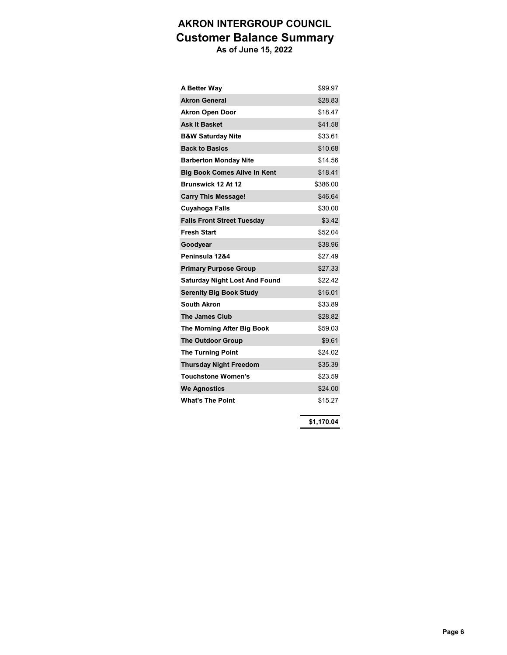# **AKRON INTERGROUP COUNCIL Customer Balance Summary**

 **As of June 15, 2022**

| A Better Way                         | \$99.97  |
|--------------------------------------|----------|
| <b>Akron General</b>                 | \$28.83  |
| <b>Akron Open Door</b>               | \$18.47  |
| <b>Ask It Basket</b>                 | \$41.58  |
| <b>B&amp;W Saturday Nite</b>         | \$33.61  |
| <b>Back to Basics</b>                | \$10.68  |
| <b>Barberton Monday Nite</b>         | \$14.56  |
| <b>Big Book Comes Alive In Kent</b>  | \$18.41  |
| Brunswick 12 At 12                   | \$386.00 |
| <b>Carry This Message!</b>           | \$46.64  |
| Cuyahoga Falls                       | \$30.00  |
| <b>Falls Front Street Tuesday</b>    | \$3.42   |
| <b>Fresh Start</b>                   | \$52.04  |
| Goodyear                             | \$38.96  |
| Peninsula 12&4                       | \$27.49  |
| <b>Primary Purpose Group</b>         | \$27.33  |
| <b>Saturday Night Lost And Found</b> | \$22.42  |
| <b>Serenity Big Book Study</b>       | \$16.01  |
| <b>South Akron</b>                   | \$33.89  |
| <b>The James Club</b>                | \$28.82  |
| The Morning After Big Book           | \$59.03  |
| <b>The Outdoor Group</b>             | \$9.61   |
| <b>The Turning Point</b>             | \$24.02  |
| <b>Thursday Night Freedom</b>        | \$35.39  |
| <b>Touchstone Women's</b>            | \$23.59  |
| <b>We Agnostics</b>                  | \$24.00  |
| <b>What's The Point</b>              | \$15.27  |
|                                      |          |

**\$1,170.04**